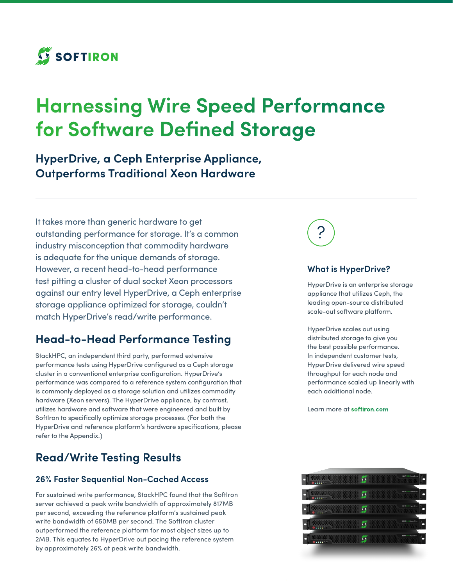

# **Harnessing Wire Speed Performance for Software Defined Storage**

**HyperDrive, a Ceph Enterprise Appliance, Outperforms Traditional Xeon Hardware**

It takes more than generic hardware to get outstanding performance for storage. It's a common industry misconception that commodity hardware is adequate for the unique demands of storage. However, a recent head-to-head performance test pitting a cluster of dual socket Xeon processors against our entry level HyperDrive, a Ceph enterprise storage appliance optimized for storage, couldn't match HyperDrive's read/write performance.

### **Head-to-Head Performance Testing**

StackHPC, an independent third party, performed extensive performance tests using HyperDrive configured as a Ceph storage cluster in a conventional enterprise configuration. HyperDrive's performance was compared to a reference system configuration that is commonly deployed as a storage solution and utilizes commodity hardware (Xeon servers). The HyperDrive appliance, by contrast, utilizes hardware and software that were engineered and built by SoftIron to specifically optimize storage processes. (For both the HyperDrive and reference platform's hardware specifications, please refer to the Appendix.)

## **Read/Write Testing Results**

#### **26% Faster Sequential Non-Cached Access**

For sustained write performance, StackHPC found that the SoftIron server achieved a peak write bandwidth of approximately 817MB per second, exceeding the reference platform's sustained peak write bandwidth of 650MB per second. The SoftIron cluster outperformed the reference platform for most object sizes up to 2MB. This equates to HyperDrive out pacing the reference system by approximately 26% at peak write bandwidth.



#### **What is HyperDrive?**

HyperDrive is an enterprise storage appliance that utilizes Ceph, the leading open-source distributed scale-out software platform.

HyperDrive scales out using distributed storage to give you the best possible performance. In independent customer tests, HyperDrive delivered wire speed throughput for each node and performance scaled up linearly with each additional node.

Learn more at **[softiron.com](http://softiron.com)**

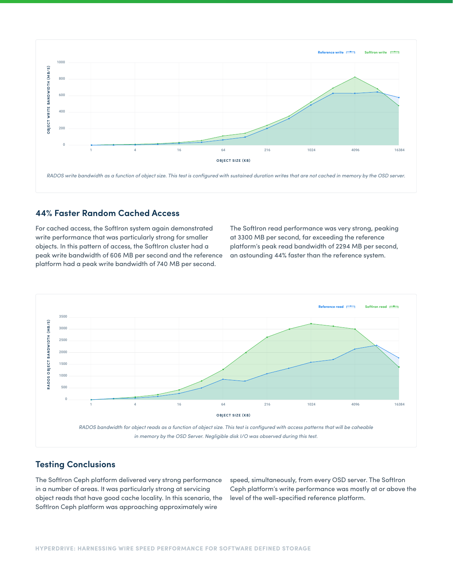

#### **44% Faster Random Cached Access**

For cached access, the SoftIron system again demonstrated write performance that was particularly strong for smaller objects. In this pattern of access, the SoftIron cluster had a peak write bandwidth of 606 MB per second and the reference platform had a peak write bandwidth of 740 MB per second.

The SoftIron read performance was very strong, peaking at 3300 MB per second, far exceeding the reference platform's peak read bandwidth of 2294 MB per second, an astounding 44% faster than the reference system.



#### **Testing Conclusions**

The SoftIron Ceph platform delivered very strong performance in a number of areas. It was particularly strong at servicing object reads that have good cache locality. In this scenario, the SoftIron Ceph platform was approaching approximately wire

speed, simultaneously, from every OSD server. The SoftIron Ceph platform's write performance was mostly at or above the level of the well-specified reference platform.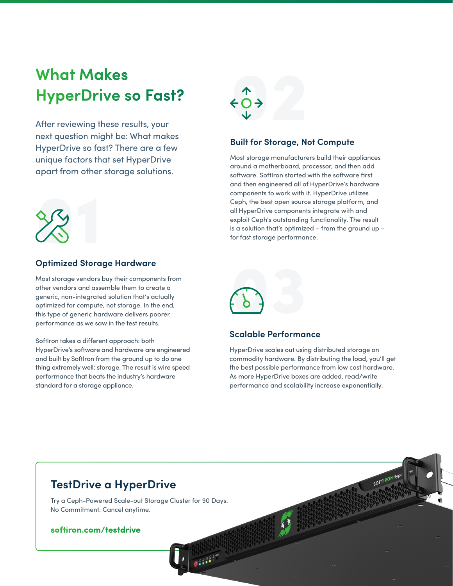## **What Makes HyperDrive so Fast?**

After reviewing these results, your next question might be: What makes HyperDrive so fast? There are a few unique factors that set HyperDrive apart from other storage solutions.



#### **Optimized Storage Hardware**

Most storage vendors buy their components from other vendors and assemble them to create a generic, non-integrated solution that's actually optimized for compute, not storage. In the end, this type of generic hardware delivers poorer performance as we saw in the test results.

SoftIron takes a diferent approach: both HyperDrive's software and hardware are engineered and built by SoftIron from the ground up to do one thing extremely well: storage. The result is wire speed performance that beats the industry's hardware standard for a storage appliance.



#### **Built for Storage, Not Compute**

Most storage manufacturers build their appliances around a motherboard, processor, and then add software. SoftIron started with the software first and then engineered all of HyperDrive's hardware components to work with it. HyperDrive utilizes Ceph, the best open source storage platform, and all HyperDrive components integrate with and exploit Ceph's outstanding functionality. The result is a solution that's optimized – from the ground up – for fast storage performance.



#### **Scalable Performance**

HyperDrive scales out using distributed storage on commodity hardware. By distributing the load, you'll get the best possible performance from low cost hardware. As more HyperDrive boxes are added, read/write performance and scalability increase exponentially.

SOFTIRON Hype

## **TestDrive a HyperDrive**

Try a Ceph-Powered Scale-out Storage Cluster for 90 Days. No Commitment. Cancel anytime.

**[softiron.com](http://softiron.com/testdrive)/testdrive**